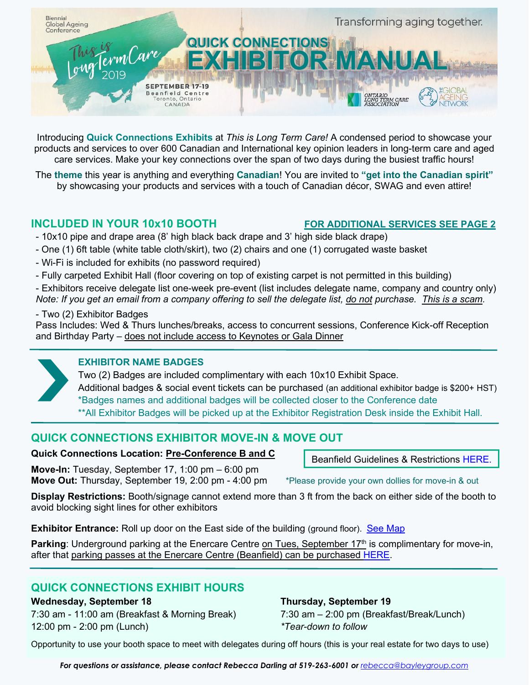

Introducing **Quick Connections Exhibits** at *This is Long Term Care!* A condensed period to showcase your products and services to over 600 Canadian and International key opinion leaders in long-term care and aged care services. Make your key connections over the span of two days during the busiest traffic hours!

The **theme** this year is anything and everything **Canadian**! You are invited to **"get into the Canadian spirit"** by showcasing your products and services with a touch of Canadian décor, SWAG and even attire!

## **INCLUDED IN YOUR 10x10 BOOTH FOR ADDITIONAL SERVICES SEE PAGE 2**

- 10x10 pipe and drape area (8' high black back drape and 3' high side black drape)
- One (1) 6ft table (white table cloth/skirt), two (2) chairs and one (1) corrugated waste basket
- Wi-Fi is included for exhibits (no password required)
- Fully carpeted Exhibit Hall (floor covering on top of existing carpet is not permitted in this building)
- Exhibitors receive delegate list one-week pre-event (list includes delegate name, company and country only)
- *Note: If you get an email from a company offering to sell the delegate list, do not purchase. This is a scam.*

#### - Two (2) Exhibitor Badges

Pass Includes: Wed & Thurs lunches/breaks, access to concurrent sessions, Conference Kick-off Reception and Birthday Party – does not include access to Keynotes or Gala Dinner

## **EXHIBITOR NAME BADGES**

 Two (2) Badges are included complimentary with each 10x10 Exhibit Space. Additional badges & social event tickets can be purchased (an additional exhibitor badge is \$200+ HST) \*Badges names and additional badges will be collected closer to the Conference date \*\*All Exhibitor Badges will be picked up at the Exhibitor Registration Desk inside the Exhibit Hall.

# **QUICK CONNECTIONS EXHIBITOR MOVE-IN & MOVE OUT**

### **Quick Connections Location: Pre-Conference B and C**

**Move-In:** Tuesday, September 17, 1:00 pm – 6:00 pm **Move Out:** Thursday, September 19, 2:00 pm - 4:00 pm \*Please provide your own dollies for move-in & out

Beanfield Guidelines & Restrictions [HERE.](https://www.eiseverywhere.com/file_uploads/59fd4b1a741c94fef72a8d1bf2ce9226_ExhibitorsTradeShows-BeanfieldInfo.pdf)

**Display Restrictions:** Booth/signage cannot extend more than 3 ft from the back on either side of the booth to avoid blocking sight lines for other exhibitors

**Exhibitor Entrance:** Roll up door on the East side of the building (ground floor). See Map

**Parking**: Underground parking at the Enercare Centre on Tues, September 17<sup>th</sup> is complimentary for move-in, after that parking passes at the Enercare Centre (Beanfield) can be purchased [HERE.](https://thisisltc2019.com/wp-content/uploads/2019/04/Exhibitor-Parking.pdf)

# **QUICK CONNECTIONS EXHIBIT HOURS**

### **Wednesday, September 18 Thursday, September 19**

7:30 am - 11:00 am (Breakfast & Morning Break) 7:30 am – 2:00 pm (Breakfast/Break/Lunch) 12:00 pm - 2:00 pm (Lunch) *\*Tear-down to follow*

Opportunity to use your booth space to meet with delegates during off hours (this is your real estate for two days to use)

*For questions or assistance, please contact Rebecca Darling at 519-263-6001 or [rebecca@bayleygroup.com](mailto:rebecca@bayleygroup.com)*